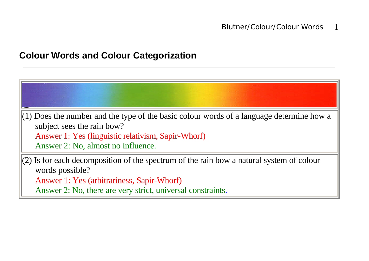### **Colour Words and Colour Categorization**



Answer 2: No, there are very strict, universal constraints.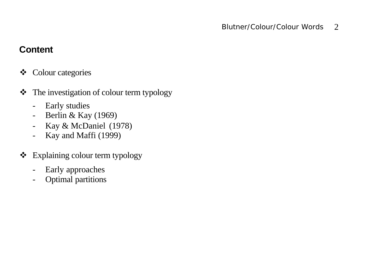# **Content**

- **❖** Colour categories
- \* The investigation of colour term typology
	- Early studies
	- Berlin & Kay (1969)
	- Kay & McDaniel (1978)
	- Kay and Maffi (1999)
- ❖ Explaining colour term typology
	- Early approaches
	- Optimal partitions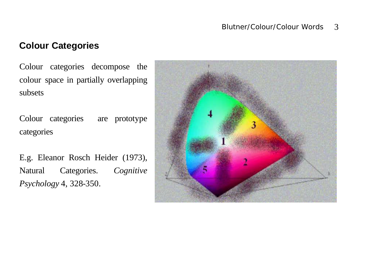#### **Colour Categories**

Colour categories decompose the colour space in partially overlapping subsets

Colour categories are prototype categories

E.g. Eleanor Rosch Heider (1973), Natural Categories. *Cognitive Psychology* 4, 328-350.

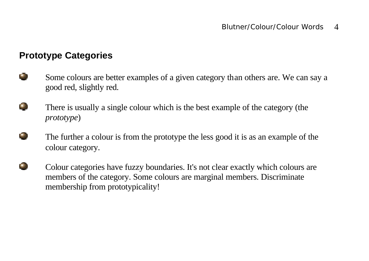### **Prototype Categories**

- ÚЮ. Some colours are better examples of a given category than others are. We can say a good red, slightly red.
- æ, There is usually a single colour which is the best example of the category (the *prototype*)
	- The further a colour is from the prototype the less good it is as an example of the colour category.
- $\blacksquare$ Colour categories have fuzzy boundaries. It's not clear exactly which colours are members of the category. Some colours are marginal members. Discriminate membership from prototypicality!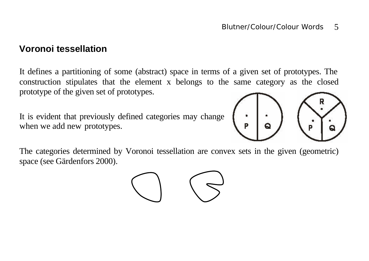#### **Voronoi tessellation**

It defines a partitioning of some (abstract) space in terms of a given set of prototypes. The construction stipulates that the element x belongs to the same category as the closed prototype of the given set of prototypes.

It is evident that previously defined categories may change when we add new prototypes.



The categories determined by Voronoi tessellation are convex sets in the given (geometric) space (see Gärdenfors 2000).

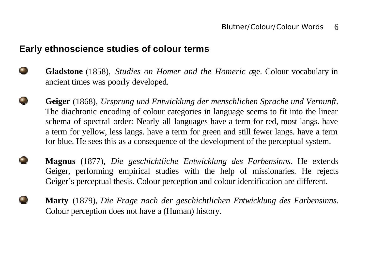#### **Early ethnoscience studies of colour terms**

- $\bullet$ **Gladstone** (1858), *Studies on Homer and the Homeric a*ge. Colour vocabulary in ancient times was poorly developed.
	- **Geiger** (1868), *Ursprung und Entwicklung der menschlichen Sprache und Vernunft*. The diachronic encoding of colour categories in language seems to fit into the linear schema of spectral order: Nearly all languages have a term for red, most langs. have a term for yellow, less langs. have a term for green and still fewer langs. have a term for blue. He sees this as a consequence of the development of the perceptual system.
	- **Magnus** (1877), *Die geschichtliche Entwicklung des Farbensinns*. He extends Geiger, performing empirical studies with the help of missionaries. He rejects Geiger's perceptual thesis. Colour perception and colour identification are different.
		- **Marty** (1879), *Die Frage nach der geschichtlichen Entwicklung des Farbensinns*. Colour perception does not have a (Human) history.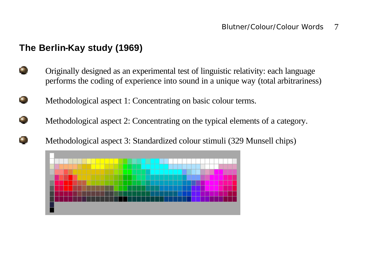# **The Berlin-Kay study (1969)**

- œ. Originally designed as an experimental test of linguistic relativity: each language performs the coding of experience into sound in a unique way (total arbitrariness)
- $\blacksquare$ Methodological aspect 1: Concentrating on basic colour terms.
- $\bullet$  ) Methodological aspect 2: Concentrating on the typical elements of a category.



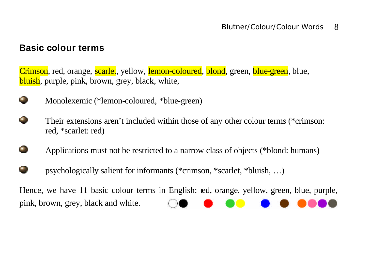#### **Basic colour terms**

Crimson, red, orange, scarlet, yellow, lemon-coloured, blond, green, blue-green, blue, bluish, purple, pink, brown, grey, black, white,



Monolexemic (\*lemon-coloured, \*blue-green)

 $\blacksquare$ Their extensions aren't included within those of any other colour terms (\*crimson: red, \*scarlet: red)

- Applications must not be restricted to a narrow class of objects (\*blond: humans)
- psychologically salient for informants (\*crimson, \*scarlet, \*bluish, …)

Hence, we have 11 basic colour terms in English: red, orange, yellow, green, blue, purple, pink, brown, grey, black and white.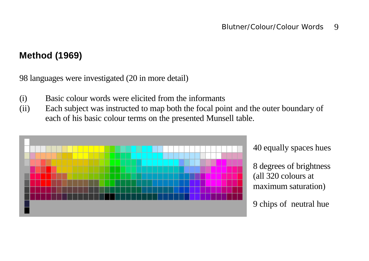# **Method (1969)**

98 languages were investigated (20 in more detail)

- (i) Basic colour words were elicited from the informants
- (ii) Each subject was instructed to map both the focal point and the outer boundary of each of his basic colour terms on the presented Munsell table.



40 equally spaces hues

8 degrees of brightness (all 320 colours at maximum saturation)

9 chips of neutral hue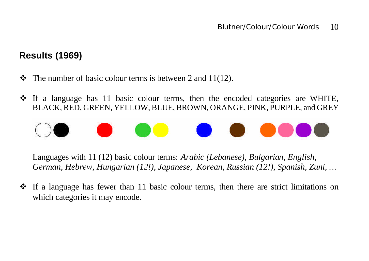# **Results (1969)**

- $\bullet$  The number of basic colour terms is between 2 and 11(12).
- $\cdot$  If a language has 11 basic colour terms, then the encoded categories are WHITE, BLACK, RED, GREEN, YELLOW, BLUE, BROWN, ORANGE, PINK, PURPLE, and GREY



Languages with 11 (12) basic colour terms: *Arabic (Lebanese), Bulgarian, English, German, Hebrew, Hungarian (12!), Japanese, Korean, Russian (12!), Spanish, Zuni, …*

 $\cdot \cdot$  If a language has fewer than 11 basic colour terms, then there are strict limitations on which categories it may encode.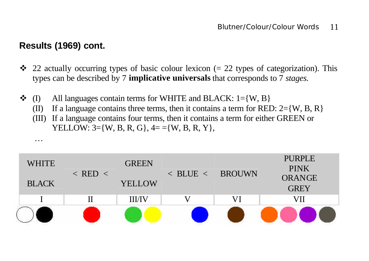### **Results (1969) cont.**

…

- $\cdot$  22 actually occurring types of basic colour lexicon (= 22 types of categorization). This types can be described by 7 **implicative universals** that corresponds to 7 *stages.*
- $\bullet$  (I) All languages contain terms for WHITE and BLACK: 1={W, B}
	- (II) If a language contains three terms, then it contains a term for RED:  $2 = \{W, B, R\}$
	- (III) If a language contains four terms, then it contains a term for either GREEN or YELLOW:  $3 = \{W, B, R, G\}, 4 = \{W, B, R, Y\},$

| <b>WHITE</b> | $\langle$ RED $\langle$ | <b>GREEN</b>  | $\leq$ BLUE $\leq$ BROUWN |    | <b>PURPLE</b><br><b>PINK</b> |
|--------------|-------------------------|---------------|---------------------------|----|------------------------------|
| <b>BLACK</b> |                         | <b>YELLOW</b> |                           |    | <b>ORANGE</b><br><b>GREY</b> |
|              |                         | <b>III/IV</b> |                           | VI | VII                          |
|              |                         |               |                           |    |                              |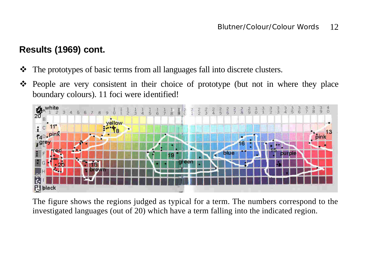# **Results (1969) cont.**

- The prototypes of basic terms from all languages fall into discrete clusters.
- \* People are very consistent in their choice of prototype (but not in where they place



The figure shows the regions judged as typical for a term. The numbers correspond to the investigated languages (out of 20) which have a term falling into the indicated region.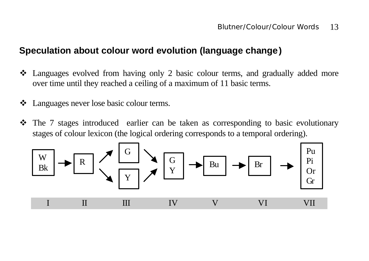## **Speculation about colour word evolution (language change)**

- Languages evolved from having only 2 basic colour terms, and gradually added more over time until they reached a ceiling of a maximum of 11 basic terms.
- ❖ Languages never lose basic colour terms.
- The 7 stages introduced earlier can be taken as corresponding to basic evolutionary stages of colour lexicon (the logical ordering corresponds to a temporal ordering).

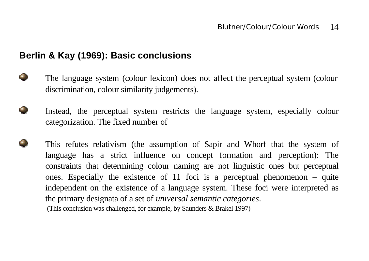#### **Berlin & Kay (1969): Basic conclusions**

- $\blacksquare$ The language system (colour lexicon) does not affect the perceptual system (colour discrimination, colour similarity judgements).
- Instead, the perceptual system restricts the language system, especially colour categorization. The fixed number of
	- This refutes relativism (the assumption of Sapir and Whorf that the system of language has a strict influence on concept formation and perception): The constraints that determining colour naming are not linguistic ones but perceptual ones. Especially the existence of 11 foci is a perceptual phenomenon – quite independent on the existence of a language system. These foci were interpreted as the primary designata of a set of *universal semantic categories*. (This conclusion was challenged, for example, by Saunders & Brakel 1997)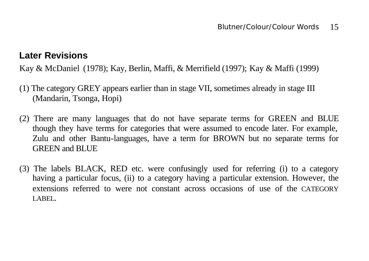### **Later Revisions**

Kay & McDaniel (1978); Kay, Berlin, Maffi, & Merrifield (1997); Kay & Maffi (1999)

- (1) The category GREY appears earlier than in stage VII, sometimes already in stage III (Mandarin, Tsonga, Hopi)
- (2) There are many languages that do not have separate terms for GREEN and BLUE though they have terms for categories that were assumed to encode later. For example, Zulu and other Bantu-languages, have a term for BROWN but no separate terms for GREEN and BLUE
- (3) The labels BLACK, RED etc. were confusingly used for referring (i) to a category having a particular focus, (ii) to a category having a particular extension. However, the extensions referred to were not constant across occasions of use of the CATEGORY LABEL.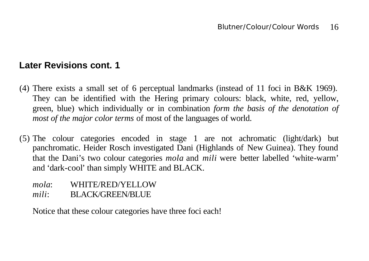### **Later Revisions cont. 1**

- (4) There exists a small set of 6 perceptual landmarks (instead of 11 foci in B&K 1969). They can be identified with the Hering primary colours: black, white, red, yellow, green, blue) which individually or in combination *form the basis of the denotation of most of the major color terms* of most of the languages of world.
- (5) The colour categories encoded in stage 1 are not achromatic (light/dark) but panchromatic. Heider Rosch investigated Dani (Highlands of New Guinea). They found that the Dani's two colour categories *mola* and *mili* were better labelled 'white-warm' and 'dark-cool' than simply WHITE and BLACK.
	- *mola*: WHITE/RED/YELLOW
	- *mili*: BLACK/GREEN/BLUE

Notice that these colour categories have three foci each!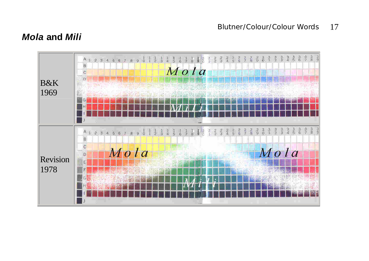#### Blutner/Colour/Colour Words 17

### *Mola* **and** *Mili*

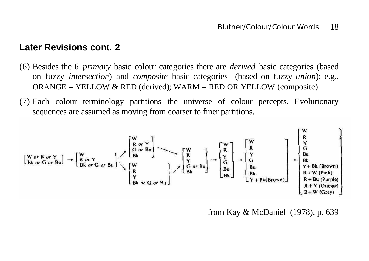#### **Later Revisions cont. 2**

- (6) Besides the 6 *primary* basic colour categories there are *derived* basic categories (based on fuzzy *intersection*) and *composite* basic categories (based on fuzzy *union*); e.g.,  $ORANGE = YELLOW & RED (derived); WARM = RED OR YELLOW (composite)$
- (7) Each colour terminology partitions the universe of colour percepts. Evolutionary sequences are assumed as moving from coarser to finer partitions.

$$
\begin{bmatrix}\nW \text{ or } R \text{ or } Y \\
Bk \text{ or } G \text{ or } Bu\n\end{bmatrix}\n\rightarrow\n\begin{bmatrix}\nW \\
R \\
R \text{ or } Y \\
Bk \text{ or } G \text{ or } Bu\n\end{bmatrix}\n\begin{bmatrix}\nW \\
R \\
S \\
R \\
Y \\
Sk \text{ or } G \text{ or } Bu\n\end{bmatrix}\n\begin{bmatrix}\nW \\
R \\
Y \\
S \\
Bk \\
Bk\n\end{bmatrix}\n\rightarrow\n\begin{bmatrix}\nW \\
R \\
Y \\
G \\
Bk \\
Bk\n\end{bmatrix}\n\rightarrow\n\begin{bmatrix}\nW \\
R \\
Y \\
G \\
Bu \\
Bk \\
Bk\n\end{bmatrix}\n\rightarrow\n\begin{bmatrix}\nW \\
R \\
Y \\
G \\
Bu \\
Bk \\
Bk\n\end{bmatrix}\n\rightarrow\n\begin{bmatrix}\nW \\
R \\
S \\
S \\
Bu \\
Bk \\
Y + Bk(Brown)\n\end{bmatrix}\n\rightarrow\n\begin{bmatrix}\nW \\
R \\
S \\
Bu \\
R + W (Pink) \\
R + W (Pink) \\
R + Bu (Purple) \\
R + Y (Orange) \\
R + Y (Orange) \\
B + W (Grey)\n\end{bmatrix}
$$

from Kay & McDaniel (1978), p. 639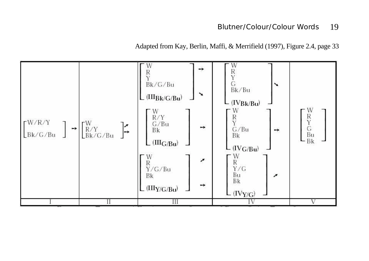#### Blutner/Colour/Colour Words 19

Adapted from Kay, Berlin, Maffi, & Merrifield (1997), Figure 2.4, page 33

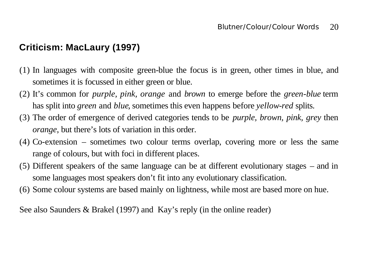# **Criticism: MacLaury (1997)**

- (1) In languages with composite green-blue the focus is in green, other times in blue, and sometimes it is focussed in either green or blue.
- (2) It's common for *purple, pink, orange* and *brown* to emerge before the *green-blue* term has split into *green* and *blue*, sometimes this even happens before *yellow-red* splits.
- (3) The order of emergence of derived categories tends to be *purple, brown, pink, grey* then *orange*, but there's lots of variation in this order.
- (4) Co-extension sometimes two colour terms overlap, covering more or less the same range of colours, but with foci in different places.
- (5) Different speakers of the same language can be at different evolutionary stages and in some languages most speakers don't fit into any evolutionary classification.
- (6) Some colour systems are based mainly on lightness, while most are based more on hue.

See also Saunders & Brakel (1997) and Kay's reply (in the online reader)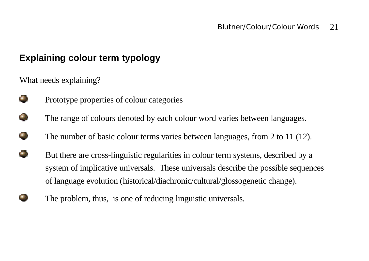## **Explaining colour term typology**

What needs explaining?

 $\bullet$ 

G.

œ

O

- Prototype properties of colour categories
- The range of colours denoted by each colour word varies between languages.
- The number of basic colour terms varies between languages, from 2 to 11 (12).
- e, But there are cross-linguistic regularities in colour term systems, described by a system of implicative universals. These universals describe the possible sequences of language evolution (historical/diachronic/cultural/glossogenetic change).
	- The problem, thus, is one of reducing linguistic universals.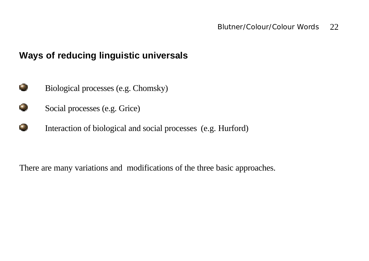## **Ways of reducing linguistic universals**

- Ф. Biological processes (e.g. Chomsky)
- $\bullet$ Social processes (e.g. Grice)
- Interaction of biological and social processes (e.g. Hurford)

There are many variations and modifications of the three basic approaches.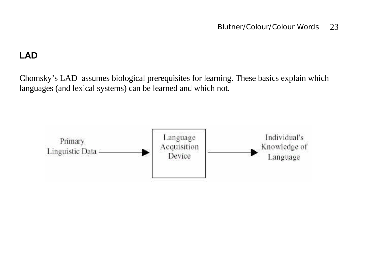## **LAD**

Chomsky's LAD assumes biological prerequisites for learning. These basics explain which languages (and lexical systems) can be learned and which not.

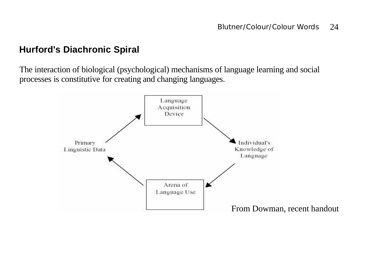## **Hurford's Diachronic Spiral**

The interaction of biological (psychological) mechanisms of language learning and social processes is constitutive for creating and changing languages.

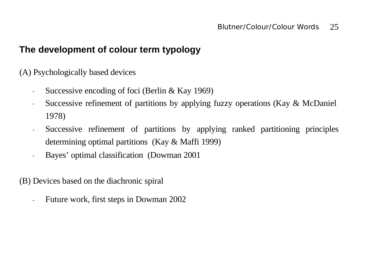#### **The development of colour term typology**

(A) Psychologically based devices

- Successive encoding of foci (Berlin & Kay 1969)
- Successive refinement of partitions by applying fuzzy operations (Kay & McDaniel 1978)
- Successive refinement of partitions by applying ranked partitioning principles determining optimal partitions (Kay & Maffi 1999)
- Bayes' optimal classification (Dowman 2001

(B) Devices based on the diachronic spiral

- Future work, first steps in Dowman 2002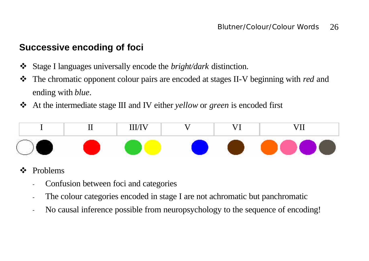## **Successive encoding of foci**

- v Stage I languages universally encode the *bright/dark* distinction.
- \* The chromatic opponent colour pairs are encoded at stages II-V beginning with *red* and ending with *blue*.
- v At the intermediate stage III and IV either *yellow* or *green* is encoded first



## v Problems

- Confusion between foci and categories
- The colour categories encoded in stage I are not achromatic but panchromatic
- No causal inference possible from neuropsychology to the sequence of encoding!